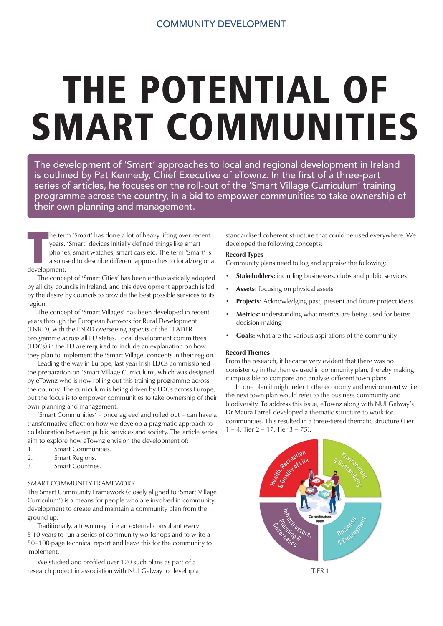# THE POTENTIAL OF SMART COMMUNITIES

The development of 'Smart' approaches to local and regional development in Ireland is outlined by Pat Kennedy, Chief Executive of eTownz. In the first of a three-part series of articles, he focuses on the roll-out of the 'Smart Village Curriculum' training programme across the country, in a bid to empower communities to take ownership of their own planning and management.

**The terr**<br> **The vertex**<br> **The properties**<br> **The development.** he term 'Smart' has done a lot of heavy lifting over recent years. 'Smart' devices initially defined things like smart phones, smart watches, smart cars etc. The term 'Smart' is also used to describe different approaches to local/regional

 The concept of 'Smart Cities' has been enthusiastically adopted by all city councils in Ireland, and this development approach is led by the desire by councils to provide the best possible services to its region.

 The concept of 'Smart Villages' has been developed in recent years through the European Network for Rural Development (ENRD), with the ENRD overseeing aspects of the LEADER programme across all EU states. Local development committees (LDCs) in the EU are required to include an explanation on how they plan to implement the 'Smart Village' concepts in their region.

 Leading the way in Europe, last year Irish LDCs commissioned the preparation on 'Smart Village Curriculum', which was designed by eTownz who is now rolling out this training programme across the country. The curriculum is being driven by LDCs across Europe, but the focus is to empower communities to take ownership of their own planning and management.

 'Smart Communities' – once agreed and rolled out – can have a transformative effect on how we develop a pragmatic approach to collaboration between public services and society. The article series aim to explore how eTownz envision the development of:

- 1. Smart Communities.
- 2. Smart Regions.
- 3. Smart Countries.

## SMART COMMUNITY FRAMEWORK

The Smart Community Framework (closely aligned to 'Smart Village Curriculum') is a means for people who are involved in community development to create and maintain a community plan from the ground up.

 Traditionally, a town may hire an external consultant every 5-10 years to run a series of community workshops and to write a 50–100-page technical report and leave this for the community to implement.

 We studied and profiled over 120 such plans as part of a research project in association with NUI Galway to develop a standardised coherent structure that could be used everywhere. We developed the following concepts:

### Record Types

Community plans need to log and appraise the following:

- Stakeholders: including businesses, clubs and public services
- Assets: focusing on physical assets
- Projects: Acknowledging past, present and future project ideas
- Metrics: understanding what metrics are being used for better decision making
- Goals: what are the various aspirations of the community

#### Record Themes

From the research, it became very evident that there was no consistency in the themes used in community plan, thereby making it impossible to compare and analyse different town plans.

 In one plan it might refer to the economy and environment while the next town plan would refer to the business community and biodiversity. To address this issue, eTownz along with NUI Galway's Dr Maura Farrell developed a thematic structure to work for communities. This resulted in a three-tiered thematic structure (Tier  $1 = 4$ , Tier  $2 = 17$ , Tier  $3 = 75$ ).



TIER 1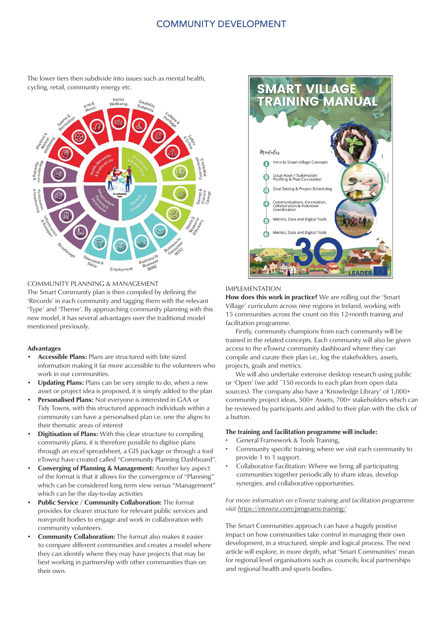# COMMUNITY DEVELOPMENT



The lower tiers then subdivide into issues such as mental health, cycling, retail, community energy etc.

## COMMUNITY PLANNING & MANAGEMENT

The Smart Community plan is then compiled by defining the 'Records' in each community and tagging them with the relevant 'Type' and 'Theme'. By approaching community planning with this new model, it has several advantages over the traditional model mentioned previously.

#### Advantages

- Accessible Plans: Plans are structured with bite sized information making it far more accessible to the volunteers who work in our communities.
- Updating Plans: Plans can be very simple to do, when a new asset or project idea is proposed, it is simply added to the plan
- Personalised Plans: Not everyone is interested in GAA or Tidy Towns, with this structured approach individuals within a community can have a personalised plan i.e. one the aligns to their thematic areas of interest
- Digitisation of Plans: With this clear structure to compiling community plans, it is therefore possible to digitise plans through an excel spreadsheet, a GIS package or through a tool eTownz have created called "Community Planning Dashboard".
- Converging of Planning & Management: Another key aspect of the format is that it allows for the convergence of "Planning" which can be considered long term view versus "Management" which can be the day-to-day activities
- Public Service / Community Collaboration: The format provides for clearer structure for relevant public services and non-profit bodies to engage and work in collaboration with community volunteers.
- Community Collaboration: The format also makes it easier to compare different communities and creates a model where they can identify where they may have projects that may be best working in partnership with other communities than on their own.



#### IMPLEMENTATION

How does this work in practice? We are rolling out the 'Smart Village' curriculum across nine regions in Ireland, working with 15 communities across the count on this 12-month training and facilitation programme.

 Firstly, community champions from each community will be trained in the related concepts. Each community will also be given access to the eTownz community dashboard where they can compile and curate their plan i.e., log the stakeholders, assets, projects, goals and metrics.

 We will also undertake extensive desktop research using public or 'Open' (we add ~150 records to each plan from open data sources). The company also have a 'Knowledge Library' of 1,000+ community project ideas, 500+ Assets, 700+ stakeholders which can be reviewed by participants and added to their plan with the click of a button.

#### The training and facilitation programme will include:

- General Framework & Tools Training,
- Community specific training where we visit each community to provide 1 to 1 support.
- Collaborative Facilitation: Where we bring all participating communities together periodically to share ideas, develop synergies, and collaborative opportunities.

*For more information on eTownz training and facilitation programme visit https://etownz.com/programs-training/*

The Smart Communities approach can have a hugely positive impact on how communities take control in managing their own development, in a structured, simple and logical process. The next article will explore, in more depth, what 'Smart Communities' mean for regional level organisations such as councils, local partnerships and regional health and sports bodies.